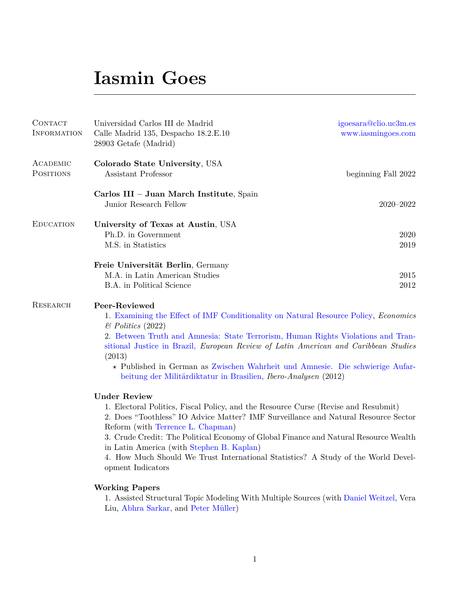### **Iasmin Goes**

| CONTACT<br>INFORMATION       | Universidad Carlos III de Madrid<br>Calle Madrid 135, Despacho 18.2.E.10<br>28903 Getafe (Madrid)                                            | igoesara@clio.uc3m.es<br>www.iasmingoes.com |
|------------------------------|----------------------------------------------------------------------------------------------------------------------------------------------|---------------------------------------------|
| ACADEMIC<br><b>POSITIONS</b> | Colorado State University, USA<br>Assistant Professor                                                                                        | beginning Fall 2022                         |
|                              | Carlos III - Juan March Institute, Spain<br>Junior Research Fellow                                                                           | $2020 - 2022$                               |
| <b>EDUCATION</b>             | University of Texas at Austin, USA<br>Ph.D. in Government<br>M.S. in Statistics                                                              | 2020<br>2019                                |
|                              | Freie Universität Berlin, Germany                                                                                                            |                                             |
|                              | M.A. in Latin American Studies                                                                                                               | 2015                                        |
|                              | <b>B.A.</b> in Political Science                                                                                                             | 2012                                        |
| RESEARCH                     | Peer-Reviewed<br>1. Examining the Effect of IMF Conditionality on Natural Resource Policy, <i>Economics</i><br>$\mathcal{B}$ Politics (2022) |                                             |
|                              | 2 Retween Truth and Amnesia: State Terrorism Human Rights Violations and Tran-                                                               |                                             |

2. [Between Truth and Amnesia: State Terrorism, Human Rights Violations and Tran](http://doi.org/10.18352/erlacs.8395)[sitional Justice in Brazil,](http://doi.org/10.18352/erlacs.8395) *European Review of Latin American and Caribbean Studies* (2013)

*?* Published in German as [Zwischen Wahrheit und Amnesie. Die schwierige Aufar](http://www.iai.spk-berlin.de/fileadmin/dokumentenbibliothek/Ibero-Analysen/Ibero_Analysen_25.pdf)[beitung der Militärdiktatur in Brasilien,](http://www.iai.spk-berlin.de/fileadmin/dokumentenbibliothek/Ibero-Analysen/Ibero_Analysen_25.pdf) *Ibero-Analysen* (2012)

#### **Under Review**

1. Electoral Politics, Fiscal Policy, and the Resource Curse (Revise and Resubmit)

2. Does "Toothless" IO Advice Matter? IMF Surveillance and Natural Resource Sector Reform (with [Terrence L. Chapman\)](https://terrencechapman.weebly.com/)

3. Crude Credit: The Political Economy of Global Finance and Natural Resource Wealth in Latin America (with [Stephen B. Kaplan\)](http://stephenbkaplan.com/)

4. How Much Should We Trust International Statistics? A Study of the World Development Indicators

#### **Working Papers**

1. Assisted Structural Topic Modeling With Multiple Sources (with [Daniel Weitzel,](https://www.danweitzel.net/) Vera Liu, [Abhra Sarkar,](https://abhrastat.github.io/) and [Peter Müller\)](https://web.ma.utexas.edu/users/pmueller/)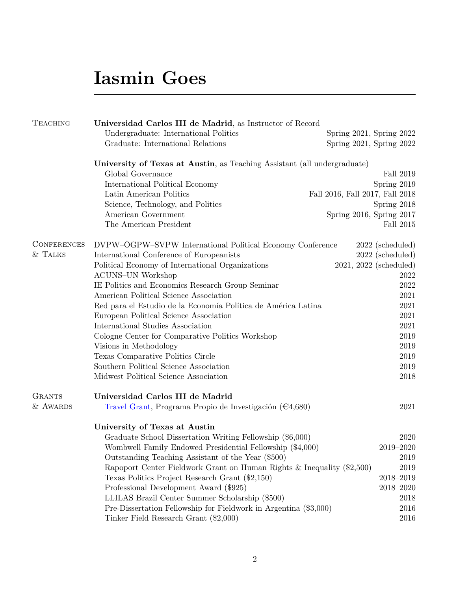## **Iasmin Goes**

| <b>TEACHING</b>    | Universidad Carlos III de Madrid, as Instructor of Record                |                                 |                          |  |
|--------------------|--------------------------------------------------------------------------|---------------------------------|--------------------------|--|
|                    | Undergraduate: International Politics                                    | Spring 2021, Spring 2022        |                          |  |
|                    | Graduate: International Relations                                        | Spring 2021, Spring 2022        |                          |  |
|                    | University of Texas at Austin, as Teaching Assistant (all undergraduate) |                                 |                          |  |
|                    | Global Governance                                                        |                                 | Fall 2019                |  |
|                    | International Political Economy                                          |                                 | Spring 2019              |  |
|                    | Latin American Politics                                                  | Fall 2016, Fall 2017, Fall 2018 |                          |  |
|                    | Science, Technology, and Politics                                        |                                 | Spring 2018              |  |
|                    | American Government                                                      | Spring 2016, Spring 2017        |                          |  |
|                    | The American President                                                   |                                 | Fall 2015                |  |
| <b>CONFERENCES</b> | DVPW-ÖGPW-SVPW International Political Economy Conference                |                                 | $2022$ (scheduled)       |  |
| & TALKS            | International Conference of Europeanists                                 |                                 | 2022 (scheduled)         |  |
|                    | Political Economy of International Organizations                         |                                 | $2021, 2022$ (scheduled) |  |
|                    | <b>ACUNS-UN Workshop</b>                                                 |                                 | 2022                     |  |
|                    | IE Politics and Economics Research Group Seminar                         |                                 | 2022                     |  |
|                    | American Political Science Association                                   |                                 | 2021                     |  |
|                    | Red para el Estudio de la Economía Política de América Latina            |                                 | 2021                     |  |
|                    | European Political Science Association                                   |                                 | 2021                     |  |
|                    | International Studies Association                                        |                                 | 2021                     |  |
|                    | Cologne Center for Comparative Politics Workshop                         |                                 | 2019                     |  |
|                    | Visions in Methodology                                                   |                                 | 2019                     |  |
|                    | Texas Comparative Politics Circle                                        |                                 | 2019                     |  |
|                    | Southern Political Science Association                                   |                                 | 2019                     |  |
|                    | Midwest Political Science Association                                    |                                 | 2018                     |  |
| <b>GRANTS</b>      | Universidad Carlos III de Madrid                                         |                                 |                          |  |
| & AWARDS           | Travel Grant, Programa Propio de Investigación ( $\epsilon$ 4,680)       |                                 | 2021                     |  |
|                    | University of Texas at Austin                                            |                                 |                          |  |
|                    | Graduate School Dissertation Writing Fellowship (\$6,000)                |                                 | 2020                     |  |
|                    | Wombwell Family Endowed Presidential Fellowship (\$4,000)                |                                 | 2019-2020                |  |
|                    | Outstanding Teaching Assistant of the Year (\$500)                       |                                 | 2019                     |  |
|                    | Rapoport Center Fieldwork Grant on Human Rights & Inequality (\$2,500)   |                                 | 2019                     |  |
|                    | Texas Politics Project Research Grant (\$2,150)                          |                                 | 2018-2019                |  |
|                    | Professional Development Award (\$925)                                   |                                 | $2018 - 2020$            |  |
|                    | LLILAS Brazil Center Summer Scholarship (\$500)                          |                                 | 2018                     |  |
|                    | Pre-Dissertation Fellowship for Fieldwork in Argentina (\$3,000)         |                                 | 2016                     |  |
|                    | Tinker Field Research Grant (\$2,000)                                    |                                 | 2016                     |  |